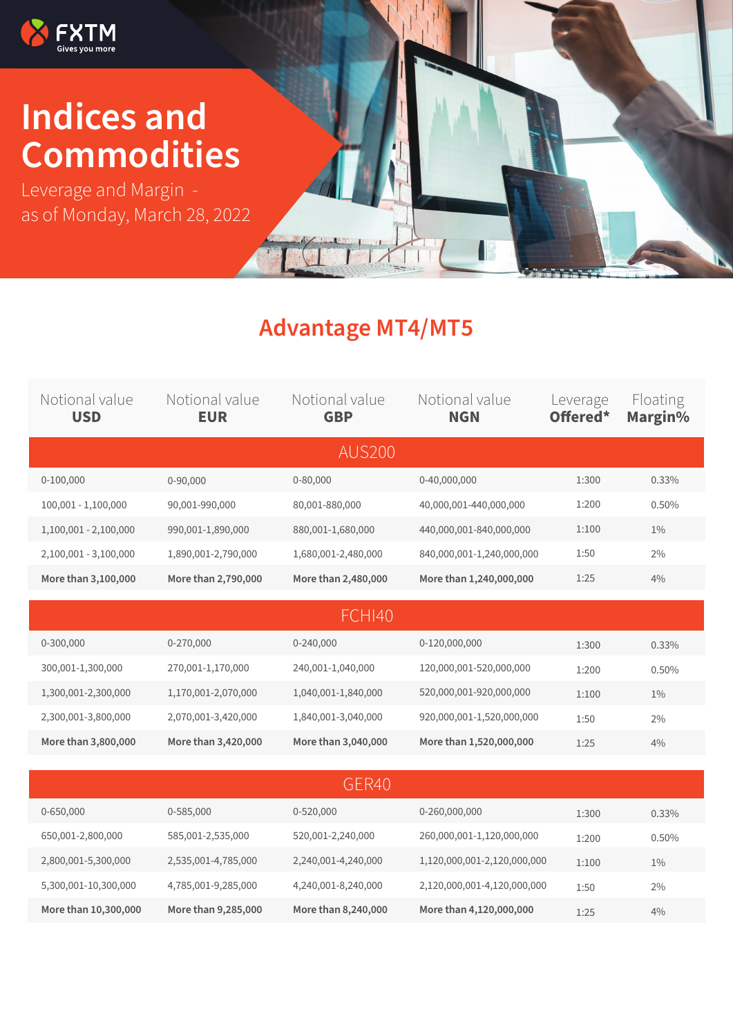

## **Indices and Commodities**

Leverage and Margin as of Monday, March 28, 2022

## **Advantage MT4/MT5**

| Notional value<br><b>USD</b> | Notional value<br><b>EUR</b> | Notional value<br><b>GBP</b> | Notional value<br><b>NGN</b> | _everage<br>Offered* | Floating<br>Margin% |  |  |  |  |
|------------------------------|------------------------------|------------------------------|------------------------------|----------------------|---------------------|--|--|--|--|
| <b>AUS200</b>                |                              |                              |                              |                      |                     |  |  |  |  |
| 0-100,000                    | 0-90,000                     | 0-80,000                     | 0-40,000,000                 | 1:300                | 0.33%               |  |  |  |  |
| 100,001 - 1,100,000          | 90,001-990,000               | 80,001-880,000               | 40,000,001-440,000,000       | 1:200                | 0.50%               |  |  |  |  |
| 1,100,001 - 2,100,000        | 990,001-1,890,000            | 880,001-1,680,000            | 440,000,001-840,000,000      | 1:100                | $1\%$               |  |  |  |  |
| 2,100,001 - 3,100,000        | 1,890,001-2,790,000          | 1,680,001-2,480,000          | 840,000,001-1,240,000,000    | 1:50                 | 2%                  |  |  |  |  |
| More than 3,100,000          | More than 2,790,000          | More than 2,480,000          | More than 1,240,000,000      | 1:25                 | 4%                  |  |  |  |  |
|                              |                              |                              |                              |                      |                     |  |  |  |  |
|                              |                              | <b>FCHI40</b>                |                              |                      |                     |  |  |  |  |
| 0-300,000                    | 0-270,000                    | 0-240,000                    | 0-120,000,000                | 1:300                | 0.33%               |  |  |  |  |
| 300,001-1,300,000            | 270,001-1,170,000            | 240,001-1,040,000            | 120,000,001-520,000,000      | 1:200                | 0.50%               |  |  |  |  |
| 1,300,001-2,300,000          | 1,170,001-2,070,000          | 1,040,001-1,840,000          | 520,000,001-920,000,000      | 1:100                | $1\%$               |  |  |  |  |
| 2,300,001-3,800,000          | 2,070,001-3,420,000          | 1,840,001-3,040,000          | 920,000,001-1,520,000,000    | 1:50                 | 2%                  |  |  |  |  |
| More than 3,800,000          | More than 3,420,000          | More than 3,040,000          | More than 1,520,000,000      | 1:25                 | 4%                  |  |  |  |  |
|                              |                              |                              |                              |                      |                     |  |  |  |  |
|                              |                              | GER40                        |                              |                      |                     |  |  |  |  |
| 0-650,000                    | 0-585,000                    | 0-520,000                    | 0-260,000,000                | 1:300                | 0.33%               |  |  |  |  |
| 650,001-2,800,000            | 585,001-2,535,000            | 520,001-2,240,000            | 260,000,001-1,120,000,000    | 1:200                | 0.50%               |  |  |  |  |
| 2,800,001-5,300,000          | 2,535,001-4,785,000          | 2,240,001-4,240,000          | 1,120,000,001-2,120,000,000  | 1:100                | $1\%$               |  |  |  |  |
| 5,300,001-10,300,000         | 4,785,001-9,285,000          | 4,240,001-8,240,000          | 2,120,000,001-4,120,000,000  | 1:50                 | 2%                  |  |  |  |  |
| More than 10,300,000         | More than 9,285,000          | More than 8,240,000          | More than 4,120,000,000      | 1:25                 | 4%                  |  |  |  |  |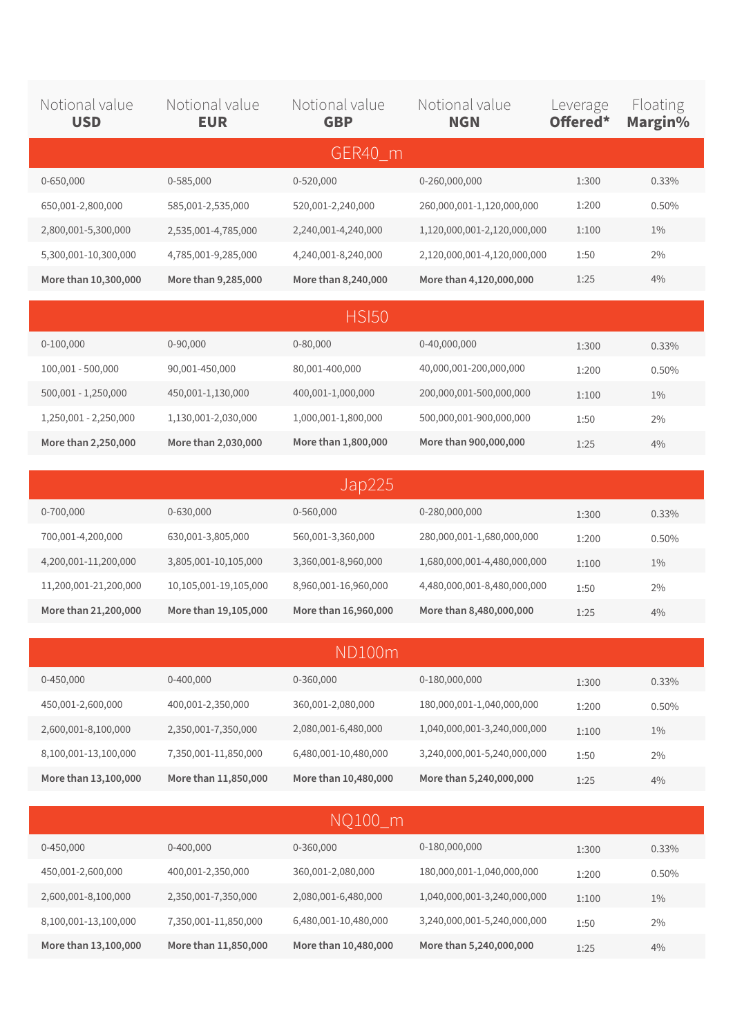| Notional value<br><b>USD</b> | Notional value<br><b>EUR</b> | Notional value<br><b>GBP</b> | Notional value<br><b>NGN</b> | Leverage<br>Offered* | Floating<br>Margin% |
|------------------------------|------------------------------|------------------------------|------------------------------|----------------------|---------------------|
|                              |                              | GER40 m                      |                              |                      |                     |
| 0-650,000                    | 0-585,000                    | 0-520,000                    | 0-260,000,000                | 1:300                | 0.33%               |
| 650,001-2,800,000            | 585,001-2,535,000            | 520,001-2,240,000            | 260,000,001-1,120,000,000    | 1:200                | 0.50%               |
| 2,800,001-5,300,000          | 2,535,001-4,785,000          | 2,240,001-4,240,000          | 1,120,000,001-2,120,000,000  | 1:100                | $1\%$               |
| 5,300,001-10,300,000         | 4,785,001-9,285,000          | 4,240,001-8,240,000          | 2,120,000,001-4,120,000,000  | 1:50                 | 2%                  |
| More than 10,300,000         | More than 9,285,000          | More than 8,240,000          | More than 4,120,000,000      | 1:25                 | 4%                  |
|                              |                              | <b>HSI50</b>                 |                              |                      |                     |
| $0-100,000$                  | $0 - 90,000$                 | $0 - 80,000$                 | 0-40,000,000                 | 1:300                | 0.33%               |
| 100,001 - 500,000            | 90,001-450,000               | 80,001-400,000               | 40,000,001-200,000,000       | 1:200                | 0.50%               |
| 500,001 - 1,250,000          | 450,001-1,130,000            | 400,001-1,000,000            | 200,000,001-500,000,000      | 1:100                | $1\%$               |
| 1,250,001 - 2,250,000        | 1,130,001-2,030,000          | 1,000,001-1,800,000          | 500,000,001-900,000,000      | 1:50                 | 2%                  |
| More than 2,250,000          | More than 2,030,000          | More than 1,800,000          | More than 900,000,000        | 1:25                 | 4%                  |

| Jap225                |                       |                      |                             |       |          |  |  |  |
|-----------------------|-----------------------|----------------------|-----------------------------|-------|----------|--|--|--|
| 0-700,000             | 0-630,000             | 0-560,000            | 0-280,000,000               | 1:300 | $0.33\%$ |  |  |  |
| 700,001-4,200,000     | 630,001-3,805,000     | 560,001-3,360,000    | 280,000,001-1,680,000,000   | 1:200 | $0.50\%$ |  |  |  |
| 4,200,001-11,200,000  | 3,805,001-10,105,000  | 3,360,001-8,960,000  | 1,680,000,001-4,480,000,000 | 1:100 | $1\%$    |  |  |  |
| 11,200,001-21,200,000 | 10,105,001-19,105,000 | 8,960,001-16,960,000 | 4,480,000,001-8,480,000,000 | 1:50  | 2%       |  |  |  |
| More than 21,200,000  | More than 19,105,000  | More than 16,960,000 | More than 8,480,000,000     | 1:25  | 4%       |  |  |  |

| ND100m               |                      |                      |                             |       |          |  |  |
|----------------------|----------------------|----------------------|-----------------------------|-------|----------|--|--|
| $0 - 450,000$        | 0-400,000            | 0-360,000            | 0-180,000,000               | 1:300 | $0.33\%$ |  |  |
| 450,001-2,600,000    | 400,001-2,350,000    | 360,001-2,080,000    | 180,000,001-1,040,000,000   | 1:200 | $0.50\%$ |  |  |
| 2,600,001-8,100,000  | 2,350,001-7,350,000  | 2,080,001-6,480,000  | 1,040,000,001-3,240,000,000 | 1:100 | $1\%$    |  |  |
| 8,100,001-13,100,000 | 7,350,001-11,850,000 | 6,480,001-10,480,000 | 3,240,000,001-5,240,000,000 | 1:50  | 2%       |  |  |
| More than 13,100,000 | More than 11,850,000 | More than 10,480,000 | More than 5,240,000,000     | 1:25  | 4%       |  |  |

| NQ100_m              |                      |                      |                             |       |          |  |  |  |
|----------------------|----------------------|----------------------|-----------------------------|-------|----------|--|--|--|
| $0 - 450,000$        | 0-400,000            | 0-360,000            | 0-180,000,000               | 1:300 | $0.33\%$ |  |  |  |
| 450,001-2,600,000    | 400,001-2,350,000    | 360,001-2,080,000    | 180,000,001-1,040,000,000   | 1:200 | $0.50\%$ |  |  |  |
| 2,600,001-8,100,000  | 2,350,001-7,350,000  | 2,080,001-6,480,000  | 1,040,000,001-3,240,000,000 | 1:100 | $1\%$    |  |  |  |
| 8,100,001-13,100,000 | 7,350,001-11,850,000 | 6,480,001-10,480,000 | 3,240,000,001-5,240,000,000 | 1:50  | 2%       |  |  |  |
| More than 13,100,000 | More than 11,850,000 | More than 10,480,000 | More than 5,240,000,000     | 1:25  | 4%       |  |  |  |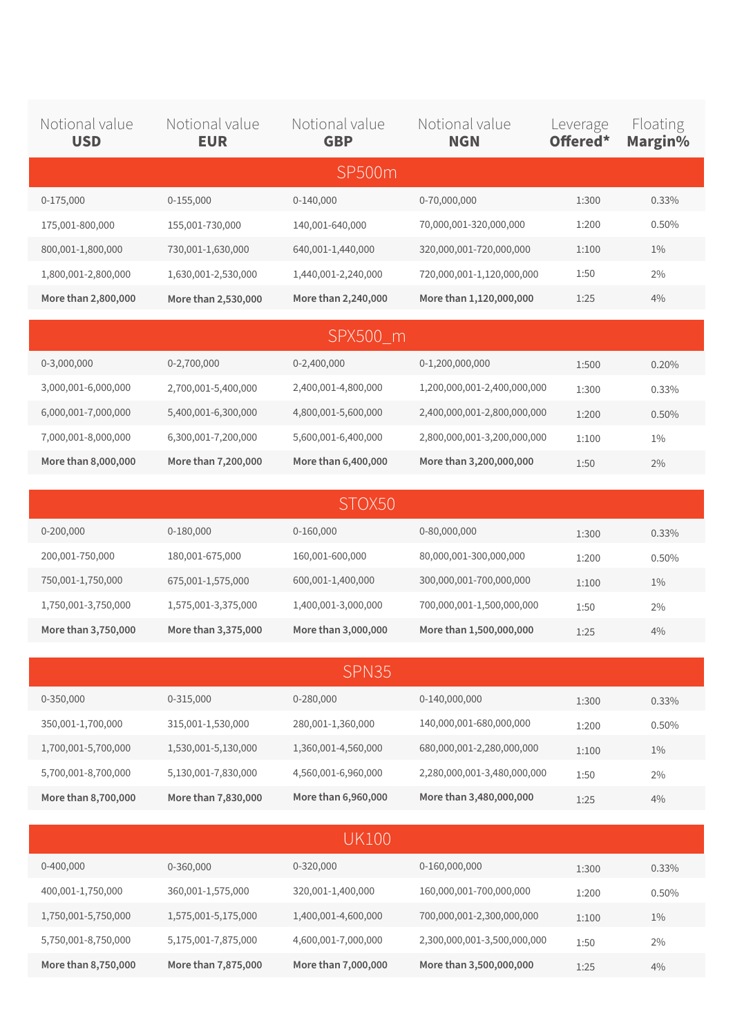| Notional value<br><b>USD</b> | Notional value<br><b>EUR</b> | Notional value<br><b>GBP</b> | Notional value<br><b>NGN</b> | Leverage<br>Offered* | Floating<br>Margin% |
|------------------------------|------------------------------|------------------------------|------------------------------|----------------------|---------------------|
|                              |                              | SP500m                       |                              |                      |                     |
| $0-175,000$                  | $0-155,000$                  | $0-140,000$                  | 0-70,000,000                 | 1:300                | 0.33%               |
| 175,001-800,000              | 155,001-730,000              | 140,001-640,000              | 70,000,001-320,000,000       | 1:200                | 0.50%               |
| 800,001-1,800,000            | 730,001-1,630,000            | 640,001-1,440,000            | 320,000,001-720,000,000      | 1:100                | $1\%$               |
| 1,800,001-2,800,000          | 1,630,001-2,530,000          | 1,440,001-2,240,000          | 720,000,001-1,120,000,000    | 1:50                 | 2%                  |
| More than 2,800,000          | More than 2,530,000          | More than 2,240,000          | More than 1,120,000,000      | 1:25                 | 4%                  |
|                              |                              | SPX500 m                     |                              |                      |                     |
| 0-3,000,000                  | 0-2,700,000                  | 0-2,400,000                  | 0-1,200,000,000              | 1:500                | 0.20%               |
| 3,000,001-6,000,000          | 2,700,001-5,400,000          | 2,400,001-4,800,000          | 1,200,000,001-2,400,000,000  | 1:300                | 0.33%               |
| 6,000,001-7,000,000          | 5,400,001-6,300,000          | 4,800,001-5,600,000          | 2,400,000,001-2,800,000,000  | 1:200                | 0.50%               |
| 7,000,001-8,000,000          | 6,300,001-7,200,000          | 5,600,001-6,400,000          | 2,800,000,001-3,200,000,000  | 1:100                | $1\%$               |
| More than 8,000,000          | More than 7,200,000          | More than 6,400,000          | More than 3,200,000,000      | 1:50                 | 2%                  |

| STOX50              |                     |                     |                           |       |          |  |  |
|---------------------|---------------------|---------------------|---------------------------|-------|----------|--|--|
| $0 - 200,000$       | 0-180,000           | $0-160,000$         | 0-80,000,000              | 1:300 | $0.33\%$ |  |  |
| 200,001-750,000     | 180,001-675,000     | 160,001-600,000     | 80,000,001-300,000,000    | 1:200 | $0.50\%$ |  |  |
| 750,001-1,750,000   | 675,001-1,575,000   | 600,001-1,400,000   | 300,000,001-700,000,000   | 1:100 | $1\%$    |  |  |
| 1,750,001-3,750,000 | 1,575,001-3,375,000 | 1,400,001-3,000,000 | 700,000,001-1,500,000,000 | 1:50  | 2%       |  |  |
| More than 3,750,000 | More than 3,375,000 | More than 3,000,000 | More than 1,500,000,000   | 1:25  | 4%       |  |  |

| SPN35               |                     |                     |                             |       |          |  |  |
|---------------------|---------------------|---------------------|-----------------------------|-------|----------|--|--|
| 0-350,000           | 0-315,000           | 0-280,000           | 0-140,000,000               | 1:300 | $0.33\%$ |  |  |
| 350,001-1,700,000   | 315,001-1,530,000   | 280,001-1,360,000   | 140,000,001-680,000,000     | 1:200 | $0.50\%$ |  |  |
| 1,700,001-5,700,000 | 1,530,001-5,130,000 | 1,360,001-4,560,000 | 680,000,001-2,280,000,000   | 1:100 | $1\%$    |  |  |
| 5,700,001-8,700,000 | 5,130,001-7,830,000 | 4,560,001-6,960,000 | 2,280,000,001-3,480,000,000 | 1:50  | 2%       |  |  |
| More than 8,700,000 | More than 7,830,000 | More than 6,960,000 | More than 3,480,000,000     | 1:25  | 4%       |  |  |

| UK100               |                     |                     |                             |       |          |  |  |  |
|---------------------|---------------------|---------------------|-----------------------------|-------|----------|--|--|--|
| $0-400,000$         | 0-360,000           | $0 - 320,000$       | 0-160,000,000               | 1:300 | $0.33\%$ |  |  |  |
| 400,001-1,750,000   | 360,001-1,575,000   | 320,001-1,400,000   | 160,000,001-700,000,000     | 1:200 | $0.50\%$ |  |  |  |
| 1,750,001-5,750,000 | 1,575,001-5,175,000 | 1,400,001-4,600,000 | 700,000,001-2,300,000,000   | 1:100 | $1\%$    |  |  |  |
| 5,750,001-8,750,000 | 5,175,001-7,875,000 | 4,600,001-7,000,000 | 2,300,000,001-3,500,000,000 | 1:50  | $2\%$    |  |  |  |
| More than 8,750,000 | More than 7,875,000 | More than 7,000,000 | More than 3,500,000,000     | 1:25  | 4%       |  |  |  |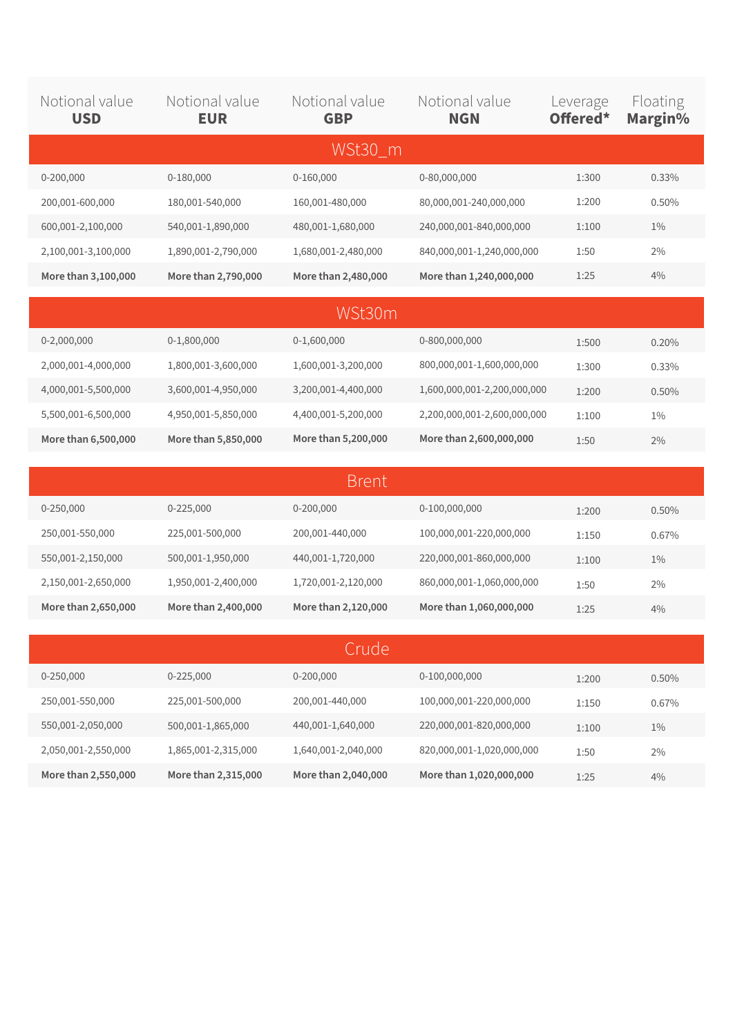| Notional value<br><b>USD</b> | Notional value<br><b>EUR</b> | Notional value<br><b>GBP</b> | Notional value<br><b>NGN</b> | Leverage<br>Offered* | Floating<br>Margin% |
|------------------------------|------------------------------|------------------------------|------------------------------|----------------------|---------------------|
|                              |                              | WSt30_m                      |                              |                      |                     |
| 0-200,000                    | 0-180,000                    | $0-160,000$                  | 0-80,000,000                 | 1:300                | 0.33%               |
| 200,001-600,000              | 180,001-540,000              | 160,001-480,000              | 80,000,001-240,000,000       | 1:200                | 0.50%               |
| 600,001-2,100,000            | 540,001-1,890,000            | 480,001-1,680,000            | 240,000,001-840,000,000      | 1:100                | $1\%$               |
| 2,100,001-3,100,000          | 1,890,001-2,790,000          | 1,680,001-2,480,000          | 840,000,001-1,240,000,000    | 1:50                 | $2\%$               |
| More than 3,100,000          | More than 2,790,000          | More than 2,480,000          | More than 1,240,000,000      | 1:25                 | 4%                  |
|                              |                              | WSt30m                       |                              |                      |                     |
| 0-2,000,000                  | 0-1,800,000                  | 0-1,600,000                  | 0-800,000,000                | 1:500                | 0.20%               |
| 2,000,001-4,000,000          | 1,800,001-3,600,000          | 1,600,001-3,200,000          | 800,000,001-1,600,000,000    | 1:300                | 0.33%               |
| 4,000,001-5,500,000          | 3,600,001-4,950,000          | 3,200,001-4,400,000          | 1,600,000,001-2,200,000,000  | 1:200                | 0.50%               |
| 5,500,001-6,500,000          | 4,950,001-5,850,000          | 4,400,001-5,200,000          | 2,200,000,001-2,600,000,000  | 1:100                | $1\%$               |
| More than 6,500,000          | More than 5,850,000          | More than 5,200,000          | More than 2,600,000,000      | 1:50                 | 2%                  |
|                              |                              | <b>Brent</b>                 |                              |                      |                     |
| 0-250,000                    | 0-225,000                    | 0-200,000                    | 0-100,000,000                |                      |                     |
| 250,001-550,000              | 225,001-500,000              | 200,001-440,000              | 100,000,001-220,000,000      | 1:200                | 0.50%               |
| 550,001-2,150,000            | 500,001-1,950,000            | 440,001-1,720,000            | 220,000,001-860,000,000      | 1:150                | 0.67%               |
| 2,150,001-2,650,000          | 1,950,001-2,400,000          | 1,720,001-2,120,000          | 860,000,001-1,060,000,000    | 1:100                | $1\%$               |
| More than 2,650,000          | More than 2,400,000          | More than 2,120,000          | More than 1,060,000,000      | 1:50                 | 2%                  |
|                              |                              |                              |                              | 1:25                 | 4%                  |
|                              |                              | Crude                        |                              |                      |                     |
| 0-250,000                    | 0-225,000                    | 0-200,000                    | 0-100,000,000                | 1:200                | 0.50%               |
| 250,001-550,000              | 225,001-500,000              | 200,001-440,000              | 100,000,001-220,000,000      | 1:150                | 0.67%               |
| 550,001-2,050,000            | 500,001-1,865,000            | 440,001-1,640,000            | 220,000,001-820,000,000      | 1:100                | $1\%$               |
| 2,050,001-2,550,000          | 1,865,001-2,315,000          | 1,640,001-2,040,000          | 820,000,001-1,020,000,000    | 1:50                 | $2\%$               |

**More than 2,040,000**

**More than 1,020,000,000**

1:25

4%

**More than 2,315,000**

**More than 2,550,000**